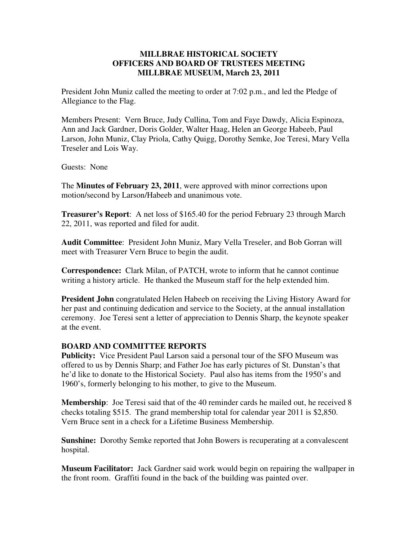## **MILLBRAE HISTORICAL SOCIETY OFFICERS AND BOARD OF TRUSTEES MEETING MILLBRAE MUSEUM, March 23, 2011**

President John Muniz called the meeting to order at 7:02 p.m., and led the Pledge of Allegiance to the Flag.

Members Present: Vern Bruce, Judy Cullina, Tom and Faye Dawdy, Alicia Espinoza, Ann and Jack Gardner, Doris Golder, Walter Haag, Helen an George Habeeb, Paul Larson, John Muniz, Clay Priola, Cathy Quigg, Dorothy Semke, Joe Teresi, Mary Vella Treseler and Lois Way.

Guests: None

The **Minutes of February 23, 2011**, were approved with minor corrections upon motion/second by Larson/Habeeb and unanimous vote.

**Treasurer's Report**: A net loss of \$165.40 for the period February 23 through March 22, 2011, was reported and filed for audit.

**Audit Committee**: President John Muniz, Mary Vella Treseler, and Bob Gorran will meet with Treasurer Vern Bruce to begin the audit.

**Correspondence:** Clark Milan, of PATCH, wrote to inform that he cannot continue writing a history article. He thanked the Museum staff for the help extended him.

**President John** congratulated Helen Habeeb on receiving the Living History Award for her past and continuing dedication and service to the Society, at the annual installation ceremony. Joe Teresi sent a letter of appreciation to Dennis Sharp, the keynote speaker at the event.

## **BOARD AND COMMITTEE REPORTS**

**Publicity:** Vice President Paul Larson said a personal tour of the SFO Museum was offered to us by Dennis Sharp; and Father Joe has early pictures of St. Dunstan's that he'd like to donate to the Historical Society. Paul also has items from the 1950's and 1960's, formerly belonging to his mother, to give to the Museum.

**Membership**: Joe Teresi said that of the 40 reminder cards he mailed out, he received 8 checks totaling \$515. The grand membership total for calendar year 2011 is \$2,850. Vern Bruce sent in a check for a Lifetime Business Membership.

**Sunshine:** Dorothy Semke reported that John Bowers is recuperating at a convalescent hospital.

**Museum Facilitator:** Jack Gardner said work would begin on repairing the wallpaper in the front room. Graffiti found in the back of the building was painted over.